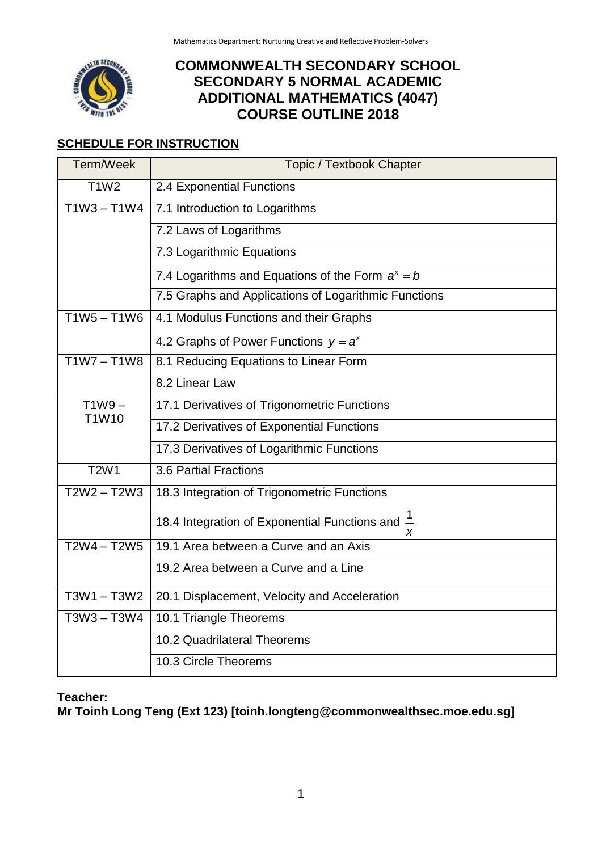

# **COMMONWEALTH SECONDARY SCHOOL SECONDARY 5 NORMAL ACADEMIC ADDITIONAL MATHEMATICS (4047) COURSE OUTLINE 2018**

## **SCHEDULE FOR INSTRUCTION**

| Term/Week     | <b>Topic / Textbook Chapter</b>                                  |  |  |
|---------------|------------------------------------------------------------------|--|--|
| <b>T1W2</b>   | 2.4 Exponential Functions                                        |  |  |
| $T1W3 - T1W4$ | 7.1 Introduction to Logarithms                                   |  |  |
|               | 7.2 Laws of Logarithms                                           |  |  |
|               | 7.3 Logarithmic Equations                                        |  |  |
|               | 7.4 Logarithms and Equations of the Form $a^x = b$               |  |  |
|               | 7.5 Graphs and Applications of Logarithmic Functions             |  |  |
| $T1W5 - T1W6$ | 4.1 Modulus Functions and their Graphs                           |  |  |
|               | 4.2 Graphs of Power Functions $y = a^x$                          |  |  |
| $T1W7 - T1W8$ | 8.1 Reducing Equations to Linear Form                            |  |  |
|               | 8.2 Linear Law                                                   |  |  |
| $T1W9 -$      | 17.1 Derivatives of Trigonometric Functions                      |  |  |
| T1W10         | 17.2 Derivatives of Exponential Functions                        |  |  |
|               | 17.3 Derivatives of Logarithmic Functions                        |  |  |
| <b>T2W1</b>   | 3.6 Partial Fractions                                            |  |  |
| $T2W2 - T2W3$ | 18.3 Integration of Trigonometric Functions                      |  |  |
|               | 18.4 Integration of Exponential Functions and $\frac{1}{2}$<br>x |  |  |
| $T2W4 - T2W5$ | 19.1 Area between a Curve and an Axis                            |  |  |
|               | 19.2 Area between a Curve and a Line                             |  |  |
| $T3W1 - T3W2$ | 20.1 Displacement, Velocity and Acceleration                     |  |  |
| T3W3-T3W4     | 10.1 Triangle Theorems                                           |  |  |
|               | 10.2 Quadrilateral Theorems                                      |  |  |
|               | 10.3 Circle Theorems                                             |  |  |

### **Teacher:**

**Mr Toinh Long Teng (Ext 123) [toinh.longteng@commonwealthsec.moe.edu.sg]**